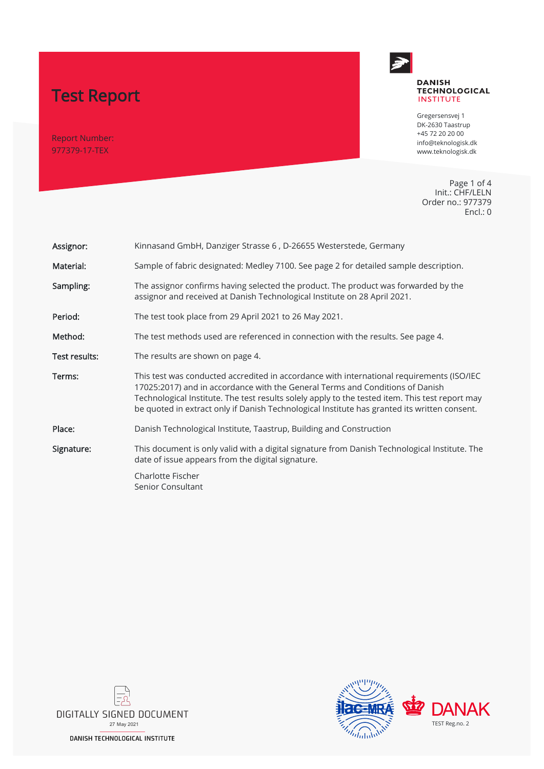# Test Report

Report Number: 977379-17-TEX



#### **DANISH TECHNOLOGICAL INSTITUTE**

Gregersensvej 1 DK-2630 Taastrup +45 72 20 20 00 info@teknologisk.dk www.teknologisk.dk

Page 1 of 4 Init.: CHF/LELN Order no.: 977379 Encl.: 0

| Assignor:     | Kinnasand GmbH, Danziger Strasse 6, D-26655 Westerstede, Germany                                                                                                                                                                                                                                                                                                              |  |
|---------------|-------------------------------------------------------------------------------------------------------------------------------------------------------------------------------------------------------------------------------------------------------------------------------------------------------------------------------------------------------------------------------|--|
| Material:     | Sample of fabric designated: Medley 7100. See page 2 for detailed sample description.                                                                                                                                                                                                                                                                                         |  |
| Sampling:     | The assignor confirms having selected the product. The product was forwarded by the<br>assignor and received at Danish Technological Institute on 28 April 2021.                                                                                                                                                                                                              |  |
| Period:       | The test took place from 29 April 2021 to 26 May 2021.                                                                                                                                                                                                                                                                                                                        |  |
| Method:       | The test methods used are referenced in connection with the results. See page 4.                                                                                                                                                                                                                                                                                              |  |
| Test results: | The results are shown on page 4.                                                                                                                                                                                                                                                                                                                                              |  |
| Terms:        | This test was conducted accredited in accordance with international requirements (ISO/IEC<br>17025:2017) and in accordance with the General Terms and Conditions of Danish<br>Technological Institute. The test results solely apply to the tested item. This test report may<br>be quoted in extract only if Danish Technological Institute has granted its written consent. |  |
| Place:        | Danish Technological Institute, Taastrup, Building and Construction                                                                                                                                                                                                                                                                                                           |  |
| Signature:    | This document is only valid with a digital signature from Danish Technological Institute. The<br>date of issue appears from the digital signature.                                                                                                                                                                                                                            |  |
|               | Charlotte Fischer<br>Senior Consultant                                                                                                                                                                                                                                                                                                                                        |  |



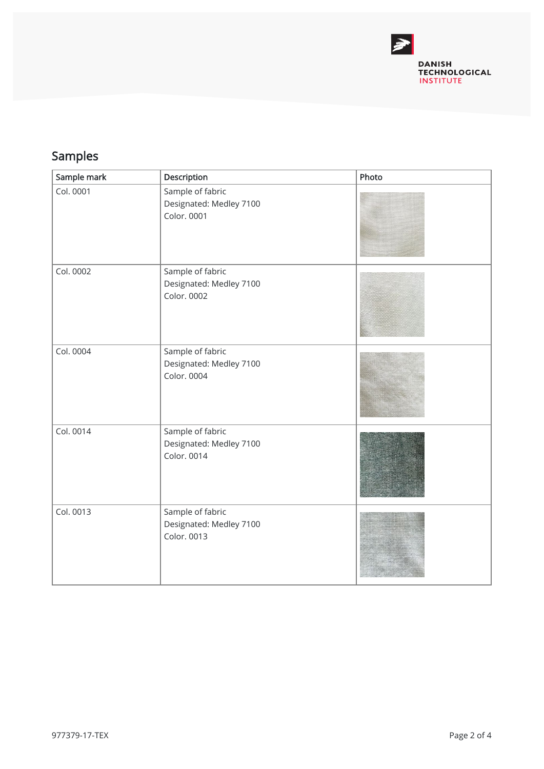

## Samples

| Sample mark | Description                                                | Photo |
|-------------|------------------------------------------------------------|-------|
| Col. 0001   | Sample of fabric<br>Designated: Medley 7100<br>Color. 0001 |       |
| Col. 0002   | Sample of fabric<br>Designated: Medley 7100<br>Color. 0002 |       |
| Col. 0004   | Sample of fabric<br>Designated: Medley 7100<br>Color. 0004 |       |
| Col. 0014   | Sample of fabric<br>Designated: Medley 7100<br>Color. 0014 |       |
| Col. 0013   | Sample of fabric<br>Designated: Medley 7100<br>Color. 0013 |       |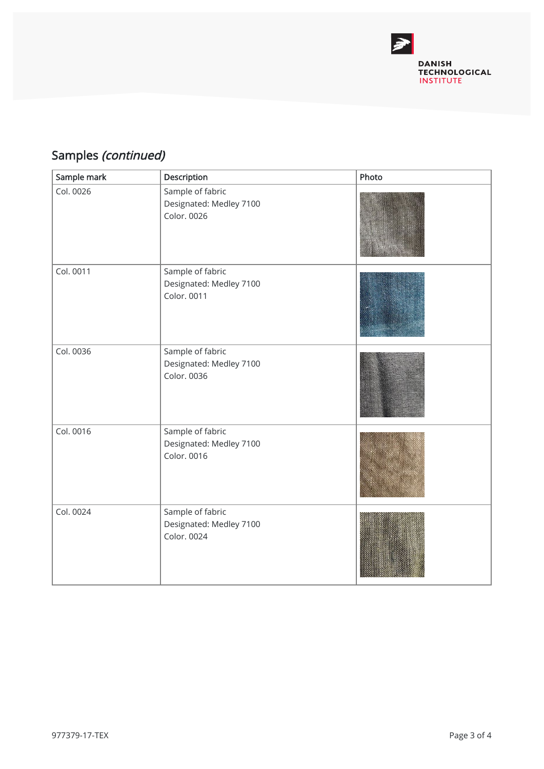

## Samples (continued)

| Sample mark | Description                                                | Photo |
|-------------|------------------------------------------------------------|-------|
| Col. 0026   | Sample of fabric<br>Designated: Medley 7100<br>Color. 0026 |       |
| Col. 0011   | Sample of fabric<br>Designated: Medley 7100<br>Color. 0011 |       |
| Col. 0036   | Sample of fabric<br>Designated: Medley 7100<br>Color. 0036 |       |
| Col. 0016   | Sample of fabric<br>Designated: Medley 7100<br>Color. 0016 |       |
| Col. 0024   | Sample of fabric<br>Designated: Medley 7100<br>Color. 0024 |       |